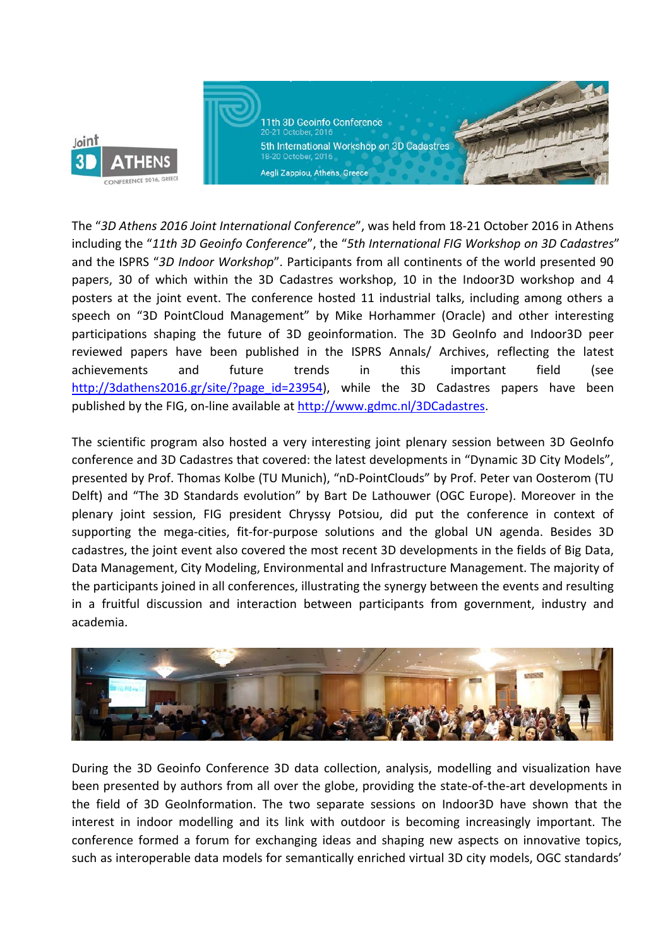

11th 3D Geoinfo Conference 20-21 October, 2016 5th International Workshop on 3D Cadastres 18-20 October, 2016

**Company Adventures, Street, Company, Company, Company, Company, Company, Company, Company, Company, Company, Company, Company, Company, Company, Company, Company, Company, Company, Company, Company, Company, Company, Comp** 

The "*3D Athens 2016 Joint International Conference*", was held from 18‐21 October 2016 in Athens including the "*11th 3D Geoinfo Conference*", the "*5th International FIG Workshop on 3D Cadastres*" and the ISPRS "*3D Indoor Workshop*". Participants from all continents of the world presented 90 papers, 30 of which within the 3D Cadastres workshop, 10 in the Indoor3D workshop and 4 posters at the joint event. The conference hosted 11 industrial talks, including among others a speech on "3D PointCloud Management" by Mike Horhammer (Oracle) and other interesting participations shaping the future of 3D geoinformation. The 3D GeoInfo and Indoor3D peer reviewed papers have been published in the ISPRS Annals/ Archives, reflecting the latest achievements and future trends in this important field (see http://3dathens2016.gr/site/?page\_id=23954), while the 3D Cadastres papers have been published by the FIG, on-line available at http://www.gdmc.nl/3DCadastres.

The scientific program also hosted a very interesting joint plenary session between 3D GeoInfo conference and 3D Cadastres that covered: the latest developments in "Dynamic 3D City Models", presented by Prof. Thomas Kolbe (TU Munich), "nD‐PointClouds" by Prof. Peter van Oosterom (TU Delft) and "The 3D Standards evolution" by Bart De Lathouwer (OGC Europe). Moreover in the plenary joint session, FIG president Chryssy Potsiou, did put the conference in context of supporting the mega-cities, fit-for-purpose solutions and the global UN agenda. Besides 3D cadastres, the joint event also covered the most recent 3D developments in the fields of Big Data, Data Management, City Modeling, Environmental and Infrastructure Management. The majority of the participants joined in all conferences, illustrating the synergy between the events and resulting in a fruitful discussion and interaction between participants from government, industry and academia.



During the 3D Geoinfo Conference 3D data collection, analysis, modelling and visualization have been presented by authors from all over the globe, providing the state-of-the-art developments in the field of 3D GeoInformation. The two separate sessions on Indoor3D have shown that the interest in indoor modelling and its link with outdoor is becoming increasingly important. The conference formed a forum for exchanging ideas and shaping new aspects on innovative topics, such as interoperable data models for semantically enriched virtual 3D city models, OGC standards'